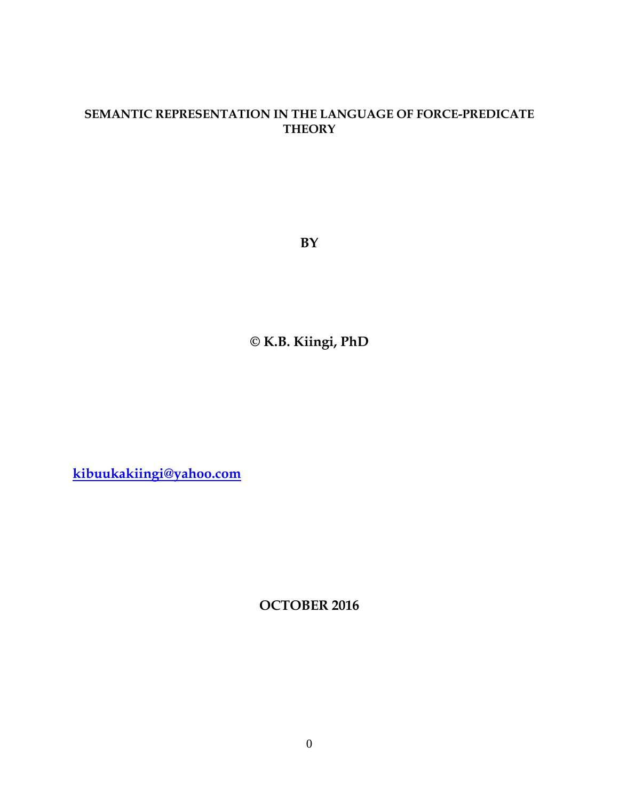## **SEMANTIC REPRESENTATION IN THE LANGUAGE OF FORCE-PREDICATE THEORY**

**BY**

**© K.B. Kiingi, PhD**

**[kibuukakiingi@yahoo.com](mailto:kibuukakiingi@yahoo.com)**

**OCTOBER 2016**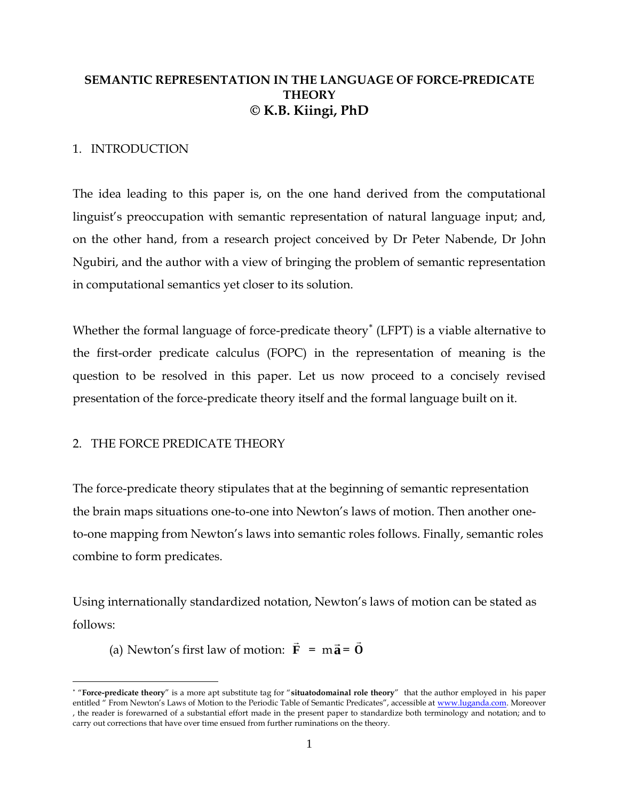## **SEMANTIC REPRESENTATION IN THE LANGUAGE OF FORCE-PREDICATE THEORY © K.B. Kiingi, PhD**

#### 1. INTRODUCTION

The idea leading to this paper is, on the one hand derived from the computational linguist's preoccupation with semantic representation of natural language input; and, on the other hand, from a research project conceived by Dr Peter Nabende, Dr John Ngubiri, and the author with a view of bringing the problem of semantic representation in computational semantics yet closer to its solution.

Whether the formal language of force-predicate theory (LFPT) is a viable alternative to the first-order predicate calculus (FOPC) in the representation of meaning is the question to be resolved in this paper. Let us now proceed to a concisely revised presentation of the force-predicate theory itself and the formal language built on it.

### 2. THE FORCE PREDICATE THEORY

 $\overline{a}$ 

The force-predicate theory stipulates that at the beginning of semantic representation the brain maps situations one-to-one into Newton's laws of motion. Then another oneto-one mapping from Newton's laws into semantic roles follows. Finally, semantic roles combine to form predicates.

Using internationally standardized notation, Newton's laws of motion can be stated as follows:

(a) Newton's first law of motion: **F**  $\rightarrow$  $=$  m $\vec{a}$  $\overline{a}$ = **O**  $\rightarrow$ 

"**Force-predicate theory**" is a more apt substitute tag for "**situatodomainal role theory**" that the author employed in his paper entitled " From Newton's Laws of Motion to the Periodic Table of Semantic Predicates", accessible at [www.luganda.com.](http://www.luganda.com/) Moreover , the reader is forewarned of a substantial effort made in the present paper to standardize both terminology and notation; and to carry out corrections that have over time ensued from further ruminations on the theory.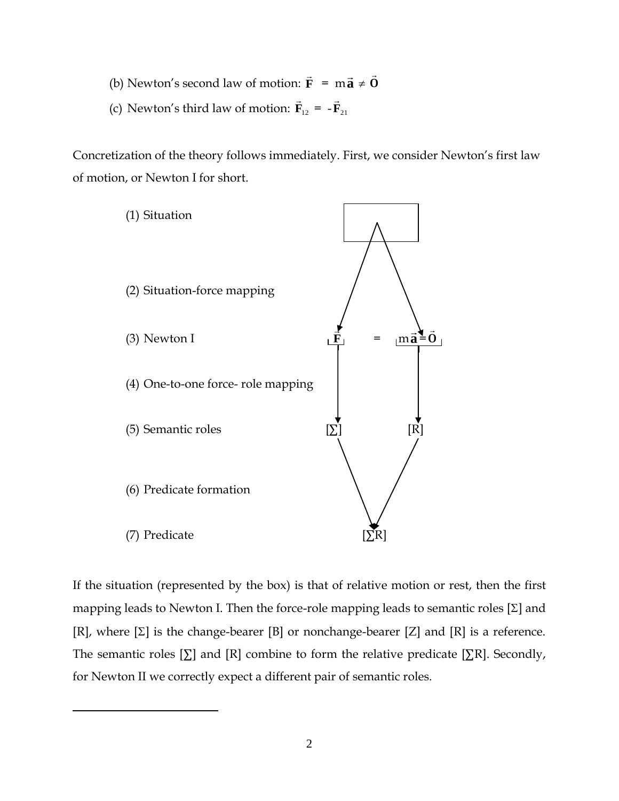- (b) Newton's second law of motion: **F**  $\rightarrow$  $=$  m $\vec{a}$  $\vec{a} \neq \vec{0}$  $\rightarrow$
- (c) Newton's third law of motion:  $\mathbf{F}_{12}$  $\rightarrow$  $=$   $-{\bf F}_{21}$  $\rightarrow$

Concretization of the theory follows immediately. First, we consider Newton's first law of motion, or Newton I for short.



If the situation (represented by the box) is that of relative motion or rest, then the first mapping leads to Newton I. Then the force-role mapping leads to semantic roles  $[\Sigma]$  and [R], where  $[\Sigma]$  is the change-bearer [B] or nonchange-bearer [Z] and [R] is a reference. The semantic roles  $[\Sigma]$  and  $[R]$  combine to form the relative predicate  $[\Sigma R]$ . Secondly, for Newton II we correctly expect a different pair of semantic roles.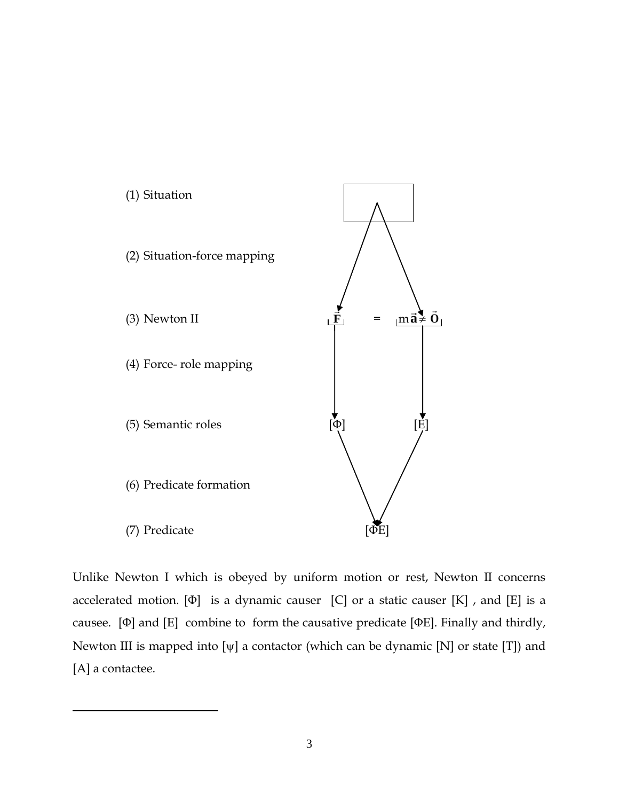

Unlike Newton I which is obeyed by uniform motion or rest, Newton II concerns accelerated motion.  $[\Phi]$  is a dynamic causer  $[C]$  or a static causer  $[K]$ , and  $[E]$  is a causee. [Φ] and [E] combine to form the causative predicate [ΦE]. Finally and thirdly, Newton III is mapped into  $[\psi]$  a contactor (which can be dynamic [N] or state [T]) and [A] a contactee.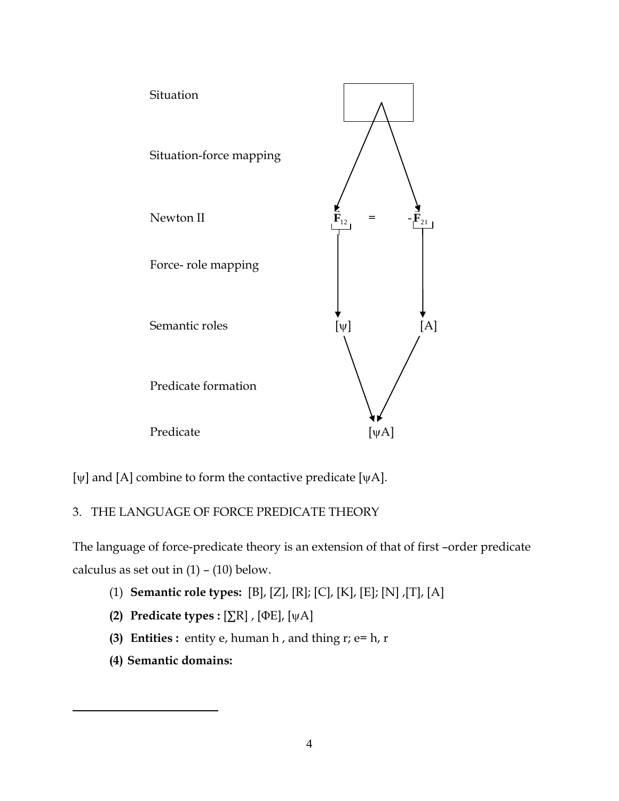

[ $\psi$ ] and [A] combine to form the contactive predicate [ $\psi$ A].

# 3. THE LANGUAGE OF FORCE PREDICATE THEORY

The language of force-predicate theory is an extension of that of first –order predicate calculus as set out in  $(1) - (10)$  below.

- (1) **Semantic role types:** [B], [Z], [R]; [C], [K], [E]; [N] ,[T], [A]
- **(2) Predicate types :** [∑R], [ΦE], [ψA]
- **(3) Entities :** entity e, human h , and thing r; e= h, r
- **(4) Semantic domains:**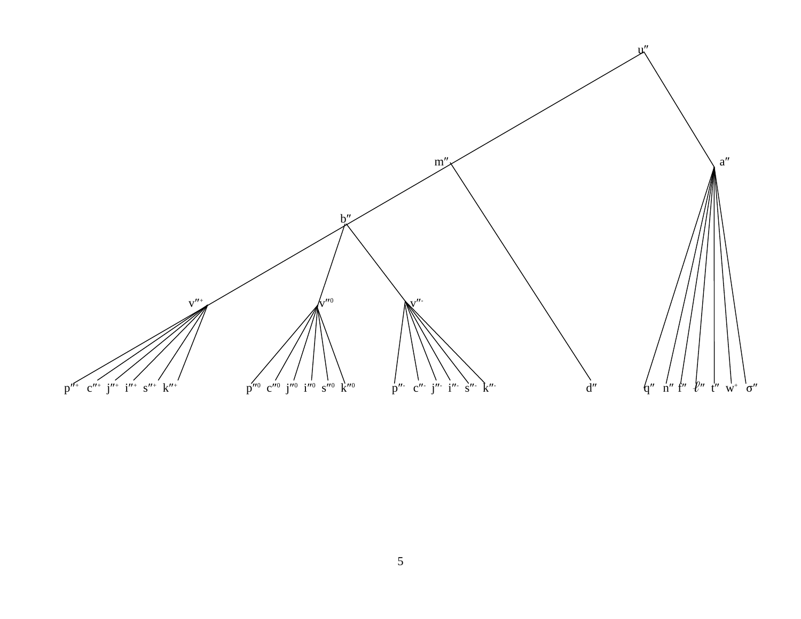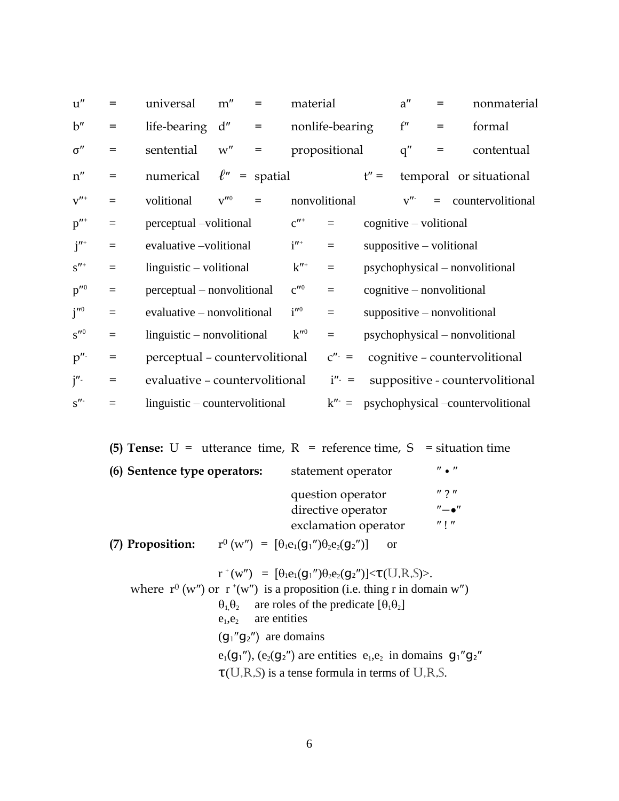| u''                         | =        | universal                      | m''                  | $=$                | material             |                      |         | a''                        | $=$ | nonmaterial                               |
|-----------------------------|----------|--------------------------------|----------------------|--------------------|----------------------|----------------------|---------|----------------------------|-----|-------------------------------------------|
| b''                         | $=$      | life-bearing                   | d''                  | $=$                |                      | nonlife-bearing      |         | f''                        | $=$ | formal                                    |
| $\sigma''$                  | $=$      | sentential                     | w''                  | $=$                |                      | propositional        |         | q''                        | $=$ | contentual                                |
| $\mathbf{n}^{\prime\prime}$ | $=$      | numerical                      |                      | $\ell''$ = spatial |                      |                      | $t'' =$ |                            |     | temporal or situational                   |
| $v''^+$                     | $=$      | volitional                     | $v^{\prime\prime 0}$ | $\equiv$           |                      | nonvolitional        |         | v''                        |     | $=$ countervolitional                     |
| $p''^+$                     | $=$      | perceptual -volitional         |                      |                    | $c''$ <sup>+</sup>   | $=$                  |         | $c$ ognitive – volitional  |     |                                           |
| $j''^+$                     | $=$      | evaluative -volitional         |                      |                    | $i''^+$              | $=$                  |         | $suppositive - volitional$ |     |                                           |
| $s''^+$                     | $=$      | $linguistic - volitional$      |                      |                    | $k''$ <sup>+</sup>   | $\equiv$             |         |                            |     | psychophysical – nonvolitional            |
| $p^{\prime\prime 0}$        | $\equiv$ | perceptual – nonvolitional     |                      |                    | $c^{\prime\prime 0}$ | $\equiv$             |         |                            |     | $c$ ognitive – nonvolitional              |
| $j^{\prime\prime 0}$        | $\equiv$ | evaluative – nonvolitional     |                      |                    | $i^{\prime\prime 0}$ | $\equiv$             |         |                            |     | $suppositive - nonvolitional$             |
| $s^{\prime\prime 0}$        | $\equiv$ | $linguistic - nonvolitional$   |                      |                    | $k^{\prime\prime 0}$ | $\equiv$             |         |                            |     | psychophysical – nonvolitional            |
| $p^{\prime\prime}$          | $=$      | perceptual - countervolitional |                      |                    |                      | $C'' - 1$            |         |                            |     | cognitive - countervolitional             |
| $j^{\prime\prime}$          | $=$      | evaluative - countervolitional |                      |                    |                      | $i^{\prime\prime}$ = |         |                            |     | suppositive - countervolitional           |
| $s$ "                       | $=$      | linguistic – countervolitional |                      |                    |                      |                      |         |                            |     | $k'' =$ psychophysical –countervolitional |

|                              | (5) Tense: $U =$ utterance time, $R =$ reference time, $S =$ situation time  |                                       |
|------------------------------|------------------------------------------------------------------------------|---------------------------------------|
| (6) Sentence type operators: | statement operator                                                           | $^{\prime\prime}$ . $^{\prime\prime}$ |
|                              | question operator<br>directive operator                                      | $''$ ? $''$<br>$"$ - $"$              |
|                              | exclamation operator                                                         | $^{\prime\prime}$   $^{\prime\prime}$ |
| (7) Proposition:             | $r^{0} (w'') = [\theta_1 e_1 (q_1'') \theta_2 e_2 (q_2'')]$<br><sub>or</sub> |                                       |
|                              | $r^+(w'') = [\theta_1 e_1(g_1'') \theta_2 e_2(g_2'')] < \tau(U, R, S) >.$    |                                       |

where  $r^0$  (w") or  $r^+(w'')$  is a proposition (i.e. thing r in domain w")  $\theta_1, \theta_2$  are roles of the predicate  $[\theta_1 \theta_2]$  $e_1,e_2$  are entities  $(g_1''g_2'')$  are domains  $e_1(g_1'')$ ,  $(e_2(g_2'')$  are entities  $e_1,e_2$  in domains  $g_1''g_2''$ τ(U,R,S) is a tense formula in terms of U,R,S.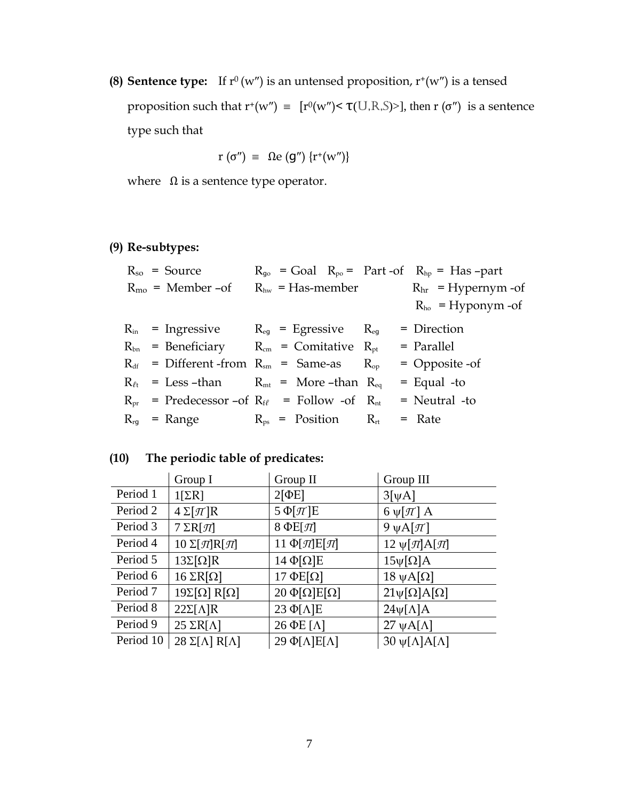**(8) Sentence type:** If  $r^0(w'')$  is an untensed proposition,  $r^+(w'')$  is a tensed proposition such that  $r^+(w'') \equiv [r^0(w'') < \tau(U,R,S) > ]$ , then  $r(\sigma'')$  is a sentence type such that

$$
r(\sigma'') = \Omega e(g'') \{r^+(w'')\}
$$

where  $\Omega$  is a sentence type operator.

# **(9) Re-subtypes:**

|  | $R_{so}$ = Source                                                |                              | $R_{qo}$ = Goal $R_{po}$ = Part-of $R_{hp}$ = Has-part |
|--|------------------------------------------------------------------|------------------------------|--------------------------------------------------------|
|  | $R_{\rm mo}$ = Member -of                                        | $R_{hw}$ = Has-member        | $Rhr$ = Hypernym -of                                   |
|  |                                                                  |                              | $R_{ho}$ = Hyponym -of                                 |
|  | $R_{in}$ = Ingressive $R_{eq}$ = Egressive $R_{eq}$              |                              | = Direction                                            |
|  | $R_{bn}$ = Beneficiary $R_{cm}$ = Comitative $R_{pt}$            |                              | = Parallel                                             |
|  | $R_{df}$ = Different-from $R_{sm}$ = Same-as $R_{op}$            |                              | $=$ Opposite -of                                       |
|  | $R_{\ell t}$ = Less -than $R_{\rm mt}$ = More -than $R_{\rm eq}$ |                              | $=$ Equal -to                                          |
|  | $R_{pr}$ = Predecessor -of $R_{f\ell}$ = Follow -of $R_{nt}$     |                              | $=$ Neutral -to                                        |
|  | $R_{\text{rg}}$ = Range                                          | $R_{ps}$ = Position $R_{rt}$ | = Rate                                                 |

# **(10) The periodic table of predicates:**

|           | Group I                          | Group II                    | Group III                    |
|-----------|----------------------------------|-----------------------------|------------------------------|
| Period 1  | $1[\Sigma R]$                    | $2[\PhiE]$                  | $3[\Psi A]$                  |
| Period 2  | $4 \Sigma [\pi]R$                | $5 \Phi[\pi]E$              | 6 $\psi[\pi]$ A              |
| Period 3  | $7 \Sigma R[\mathcal{I}]$        | 8 $\Phi E[\mathcal{\Pi}]$   | 9 $\psi$ A[ $\pi$ ]          |
| Period 4  | $10 \Sigma[\pi]$ R $[\pi]$       | 11 Φ[ $\Pi$ ]Ε[ $\Pi$ ]     | 12 $\psi[\pi]$ A[π]          |
| Period 5  | $13\Sigma[\Omega]R$              | $14 \Phi[\Omega]E$          | $15\psi[\Omega]A$            |
| Period 6  | $16 \Sigma R[\Omega]$            | $17 \Phi E[\Omega]$         | $18 \psi A[\Omega]$          |
| Period 7  | $19\Sigma[\Omega]$ R[ $\Omega$ ] | $20 \Phi[\Omega] E[\Omega]$ | $21\psi[\Omega]A[\Omega]$    |
| Period 8  | $22\Sigma[\Lambda]R$             | $23 \Phi[\Lambda]E$         | $24\psi[\Lambda]A$           |
| Period 9  | $25 \Sigma R[\Lambda]$           | $26$ $\Phi$ E [ $\Lambda$ ] | $27 \psi A[\Lambda]$         |
| Period 10 | $28 \Sigma[\Lambda] R[\Lambda]$  | 29 Φ[Λ]Ε[Λ]                 | $30 \psi[\Lambda]A[\Lambda]$ |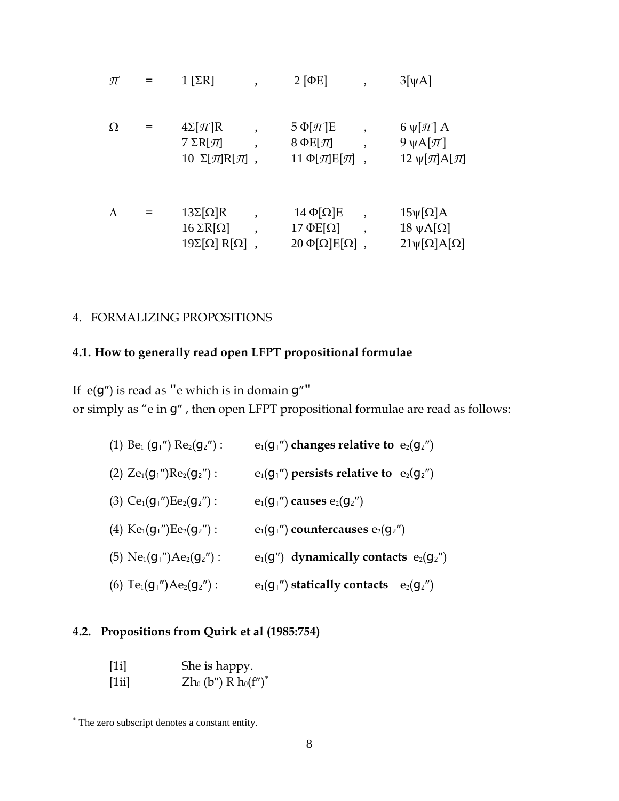$$
\pi = 1 [\Sigma R] , \qquad 2 [\Phi E] , \qquad 3[\psi A]
$$
  
\n
$$
\Omega = 4\Sigma [\pi]R , \qquad 5 \Phi [\pi]E , \qquad 6 \psi [\pi] A
$$
  
\n
$$
7 \Sigma R[\pi] , \qquad 8 \Phi E[\pi] , \qquad 9 \psi A[\pi]
$$
  
\n
$$
10 \Sigma [\pi]R[\pi] , \qquad 11 \Phi [\pi]E[\pi] , \qquad 12 \psi [\pi]A[\pi]
$$
  
\n
$$
\Lambda = 13\Sigma [\Omega]R , \qquad 14 \Phi [\Omega]E , \qquad 15 \psi [\Omega]A
$$
  
\n
$$
16 \Sigma R[\Omega] , \qquad 17 \Phi E[\Omega] , \qquad 18 \psi A[\Omega]
$$
  
\n
$$
19 \Sigma [\Omega] R[\Omega] , \qquad 20 \Phi [\Omega] E[\Omega] , \qquad 21 \psi [\Omega] A[\Omega]
$$

# 4. FORMALIZING PROPOSITIONS

# **4.1. How to generally read open LFPT propositional formulae**

If  $e(g'')$  is read as "e which is in domain  $g''$ " or simply as "e in  $g$ ", then open LFPT propositional formulae are read as follows:

| (1) Be <sub>1</sub> ( $g_1$ ") Re <sub>2</sub> ( $g_2$ ") : | $e_1(g_1'')$ changes relative to $e_2(g_2'')$  |
|-------------------------------------------------------------|------------------------------------------------|
| (2) $Ze_1(g_1'')Re_2(g_2'')$ :                              | $e_1(g_1'')$ persists relative to $e_2(g_2'')$ |
| (3) $Ce_1(g_1'')Ee_2(g_2'')$ :                              | $e_1(g_1'')$ causes $e_2(g_2'')$               |
| (4) $Ke_1(g_1'')Ee_2(g_2'')$ :                              | $e_1(g_1'')$ countercauses $e_2(g_2'')$        |
| (5) $Ne_1(g_1'')Ae_2(g_2'')$ :                              | $e_1(g'')$ dynamically contacts $e_2(g_2'')$   |
| (6) $Te_1(g_1'')Ae_2(g_2'')$ :                              | $e_1(g_1'')$ statically contacts $e_2(g_2'')$  |

# **4.2. Propositions from Quirk et al (1985:754)**

[1i] She is happy. [1ii]  $Zh_0 (b'') \overline{R} h_0 (f'')^*$ 

The zero subscript denotes a constant entity.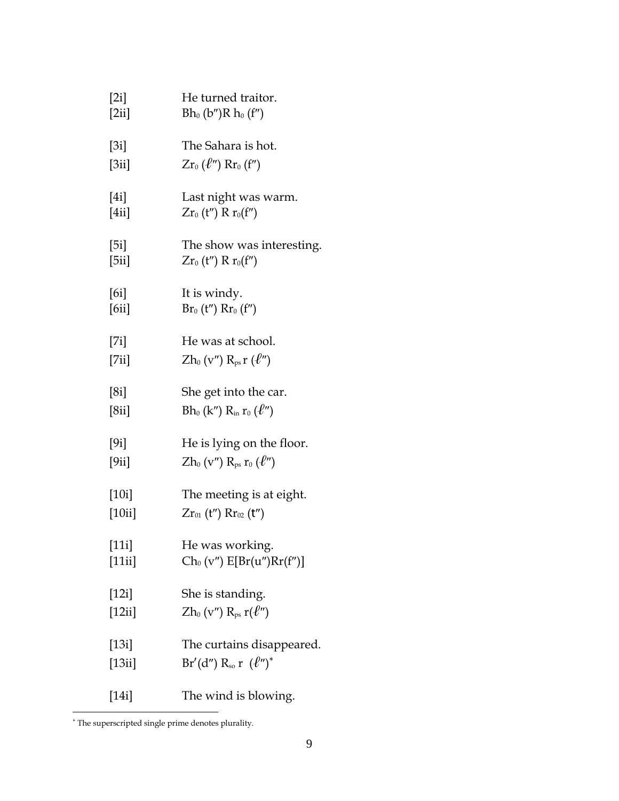| [2i]    | He turned traitor.                         |
|---------|--------------------------------------------|
| [2ii]   | $Bh_0(b'')R h_0(f'')$                      |
| [3i]    | The Sahara is hot.                         |
| [3ii]   | $Zr_0(\ell'') Rr_0(f'')$                   |
| [4i]    | Last night was warm.                       |
| [4ii]   | $Zr_0(t'') R r_0(f'')$                     |
| [5i]    | The show was interesting.                  |
| [5ii]   | $Zr_0(t'') R r_0(f'')$                     |
| [6i]    | It is windy.                               |
| [6ii]   | $Br_0(t'')$ $Rr_0(f'')$                    |
| [7i]    | He was at school.                          |
| [7ii]   | $Zh_{0}$ (v") $R_{ps}r$ ( $\ell$ ")        |
| [8i]    | She get into the car.                      |
| [8ii]   | $Bh_0(k'') R_{\rm in} r_0(\ell'')$         |
| [9i]    | He is lying on the floor.                  |
| [9ii]   | $Zh_{0}$ (v'') $R_{ps}r_{0}$ ( $\ell$ '')  |
| [10i]   | The meeting is at eight.                   |
| [10ii]  | $Zr_{01}$ (t'') $Rr_{02}$ (t'')            |
| $[11i]$ | He was working.                            |
| [11ii]  | $Ch_0(v'') E[Br(u'')Rr(f'')]$              |
| [12i]   | She is standing.                           |
| [12ii]  | $Zh$ <sub>0</sub> (v'') $R_{ps} r(\ell'')$ |
| [13i]   | The curtains disappeared.                  |
| [13ii]  | Br'(d'') R <sub>so</sub> r $(\ell'')^*$    |
| [14i]   | The wind is blowing.                       |

The superscripted single prime denotes plurality.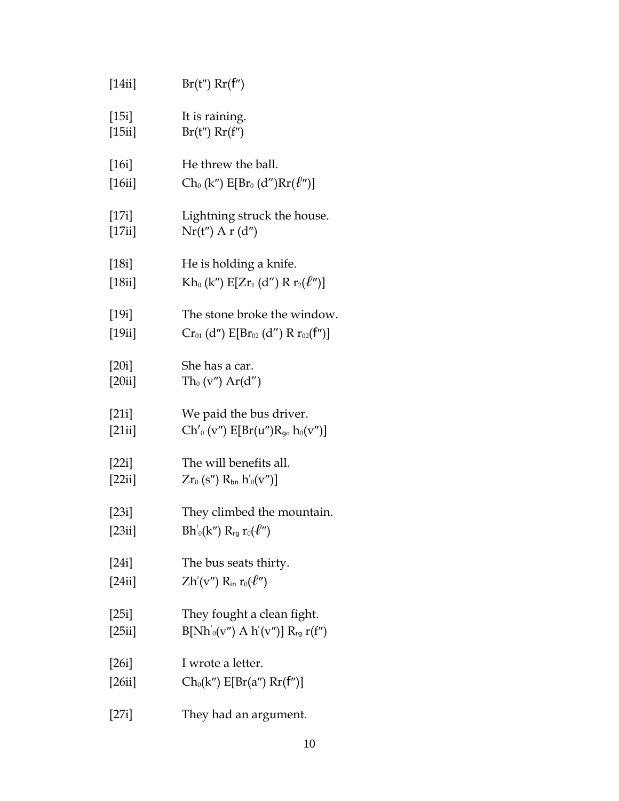| [14ii] | $Br(t'')$ $Rr(f'')$                                                                            |
|--------|------------------------------------------------------------------------------------------------|
| [15i]  | It is raining.                                                                                 |
| [15ii] | $Br(t'')$ $Rr(f'')$                                                                            |
| [16i]  | He threw the ball.                                                                             |
| [16ii] | $Ch_0(k'')E[Br_0(d'')Rr(\ell'')]$                                                              |
| [17i]  | Lightning struck the house.                                                                    |
| [17ii] | $Nr(t'')$ A r (d'')                                                                            |
| [18i]  | He is holding a knife.                                                                         |
| [18ii] | Kh <sub>0</sub> (k'') $E[Zr_1(d'') R r_2(\ell'')]$                                             |
| [19i]  | The stone broke the window.                                                                    |
| [19ii] | $Cr_{01}$ (d'') $E[Br_{02}$ (d'') R $r_{02}(f'')]$                                             |
| [20i]  | She has a car.                                                                                 |
| [20ii] | $Th_{0} (v'') Ar(d'')$                                                                         |
| [21i]  | We paid the bus driver.                                                                        |
| [21ii] | $Ch'_{0}(v'') E[Br(u'')R_{g_{0}}h_{0}(v'')]$                                                   |
| [22i]  | The will benefits all.                                                                         |
| [22ii] | $Zr_0$ (s") $R_{bn}$ $h'_0(v'')$ ]                                                             |
| [23i]  | They climbed the mountain.                                                                     |
| [23ii] | $Bh'_{0}(k'') R_{rg} r_{0}(\ell'')$                                                            |
| [24i]  | The bus seats thirty.                                                                          |
| [24ii] | $\operatorname{Zh}'(\mathbf{v}'')$ $\operatorname{R}_{\text{in}}$ $\operatorname{r}_0(\ell'')$ |
| [25i]  | They fought a clean fight.                                                                     |
| [25ii] | $B[Nh'_{0}(v'') A h'(v'')] R_{rg} r(f'')$                                                      |
| [26i]  | I wrote a letter.                                                                              |
| [26ii] | $Ch_0(k'') E[Br(a'') Rr(f'')]$                                                                 |
| [27i]  | They had an argument.                                                                          |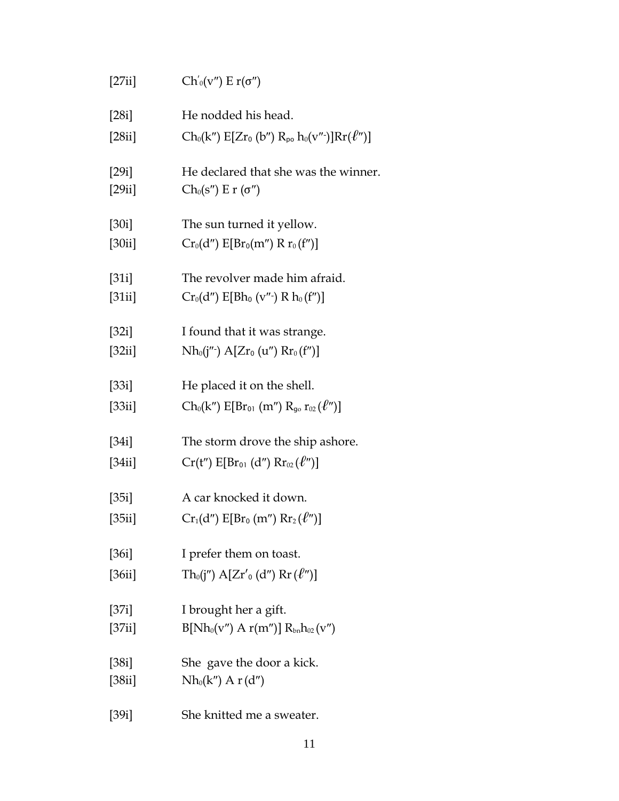| [27ii]          | $Ch'_{0}(v'') E r(\sigma'')$                                 |
|-----------------|--------------------------------------------------------------|
| [28i]           | He nodded his head.                                          |
| [28ii]          | $Ch_0(k'') E[Zr_0 (b'') R_{p0} h_0(v'')] Rr(\ell'')]$        |
| [29i]           | He declared that she was the winner.                         |
| [29ii]          | $Ch_0(s'') \to r(\sigma'')$                                  |
| [30i]           | The sun turned it yellow.                                    |
| [30ii]          | $Cr_0(d'')$ $E[Br_0(m'') R r_0(f'')]$                        |
| [31i]           | The revolver made him afraid.                                |
| [31ii]          | $Cr_0(d'')$ E[Bh <sub>0</sub> (v''-) R h <sub>0</sub> (f'')] |
| [32i]           | I found that it was strange.                                 |
| [32ii]          | $Nh_0(j''') \; A[Zr_0(u'') \; Rr_0(f'')]$                    |
| [33i]           | He placed it on the shell.                                   |
| $[33\text{ii}]$ | $Ch_0(k'')$ $E[Br_{01} (m'') R_{g_0} r_{02} (\ell'')]$       |
| [34i]           | The storm drove the ship ashore.                             |
| [34ii]          | $Cr(t'') E[Br_{01} (d'') Rr_{02} (l'')]$                     |
| [35i]           | A car knocked it down.                                       |
| [35ii]          | $Cr_1(d'')$ $E[Br_0(m'')$ $Rr_2(\ell'')]$                    |
| [36i]           | I prefer them on toast.                                      |
| [36ii]          | $Th0(j'')$ A[Zr' <sub>0</sub> (d'') Rr ( $\ell''$ )]         |
| [37i]           | I brought her a gift.                                        |
| [37ii]          | $B[Nh_0(v'') A r(m'')] R_{bn}h_{02}(v'')$                    |
| [38i]           | She gave the door a kick.                                    |
| [38ii]          | $Nh_0(k'')$ A $r(d'')$                                       |
| [39i]           | She knitted me a sweater.                                    |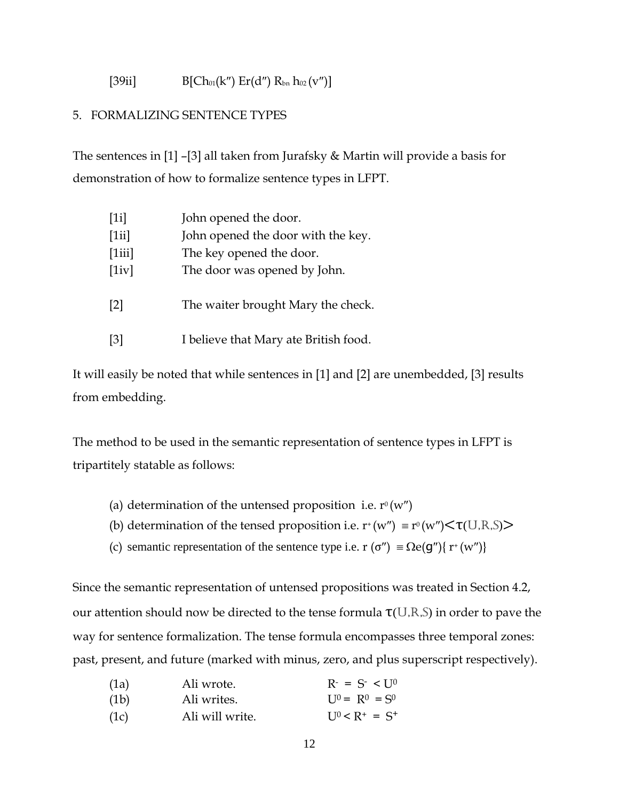[39ii] 
$$
B[Ch_{01}(k'') Er(d'') R_{bn} h_{02}(v'')]
$$

### 5. FORMALIZING SENTENCE TYPES

The sentences in [1] –[3] all taken from Jurafsky & Martin will provide a basis for demonstration of how to formalize sentence types in LFPT.

| [1i]              | John opened the door.                 |
|-------------------|---------------------------------------|
| [1ii]             | John opened the door with the key.    |
| [1iii]            | The key opened the door.              |
| [1iv]             | The door was opened by John.          |
| $\lceil 2 \rceil$ | The waiter brought Mary the check.    |
| $\lceil 3 \rceil$ | I believe that Mary ate British food. |

It will easily be noted that while sentences in [1] and [2] are unembedded, [3] results from embedding.

The method to be used in the semantic representation of sentence types in LFPT is tripartitely statable as follows:

- (a) determination of the untensed proposition i.e.  $r^0(w'')$
- (b) determination of the tensed proposition i.e.  $r^+(w'') \equiv r^0(w'') \leq \tau(U,R,S)$
- (c) semantic representation of the sentence type i.e.  $r(\sigma'') \equiv \Omega e(g'') \{ r^+(w'') \}$

Since the semantic representation of untensed propositions was treated in Section 4.2, our attention should now be directed to the tense formula  $\tau(U,R,S)$  in order to pave the way for sentence formalization. The tense formula encompasses three temporal zones: past, present, and future (marked with minus, zero, and plus superscript respectively).

| (1a) | Ali wrote.      | $R^2 = S^2 < 10$         |
|------|-----------------|--------------------------|
| (1b) | Ali writes.     | $I J^0 = R^0 = S^0$      |
| (1c) | Ali will write. | $I_{\rm 10} < R^+ = S^+$ |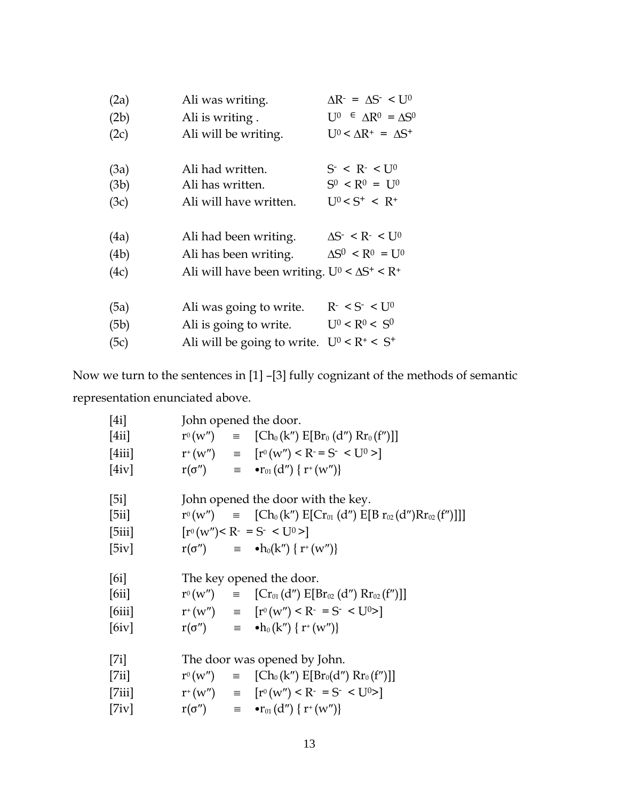| (2a) | Ali was writing.                                     | $\Delta R = \Delta S^2 \leq U^0$               |
|------|------------------------------------------------------|------------------------------------------------|
| (2b) | Ali is writing.                                      | $U^0 \in \Lambda R^0 = \Lambda S^0$            |
| (2c) | Ali will be writing.                                 | $U^0 \leq \Delta R^+ = \Delta S^+$             |
| (3a) | Ali had written.                                     | $S^- < R^- < U^0$                              |
| (3b) | Ali has written.                                     | $S^0$ < $R^0$ = $U^0$                          |
| (3c) | Ali will have written.                               | $U^0 < S^+ < R^+$                              |
| (4a) | Ali had been writing.                                | $\Delta S^{-} < R^{-} < U^{0}$                 |
| (4b) | Ali has been writing.                                | $\Delta S^0$ < R <sup>0</sup> = U <sup>0</sup> |
| (4c) | Ali will have been writing. $U^0 < \Delta S^+ < R^+$ |                                                |
| (5a) | Ali was going to write.                              | $R^- < S^- < U^0$                              |
| (5b) | Ali is going to write.                               | $U^0 < R^0 < S^0$                              |
| (5c) | Ali will be going to write.                          | $U^{0} < R^{+} < S^{+}$                        |

Now we turn to the sentences in [1] –[3] fully cognizant of the methods of semantic representation enunciated above.

| [4i]   |  | John opened the door.                                                         |
|--------|--|-------------------------------------------------------------------------------|
| [4ii]  |  | $r^{0}(w'') = [\text{Ch}_{0}(k'') \text{ E}[Br_{0}(d'') \text{ R}r_{0}(f'')]$ |
| [4iii] |  | $r^+(w'') = [r^0(w'') \le R = S^- \le U^0 > ]$                                |
| [4iv]  |  | $r(\sigma'')$ = $\bullet r_{01}(d'') \{ r^+(w'') \}$                          |
| [5i]   |  | John opened the door with the key.                                            |
| [5ii]  |  | $r^{0}(w'')$ = $[Ch_{0}(k'') E[Cr_{01}(d'') E[Br_{02}(d'')Rr_{02}(f'')]]]$    |
| [5iii] |  | $[r^0(w'') < R^- = S^- < U^0 >]$                                              |
| [5iv]  |  | $r(\sigma'')$ $\equiv$ $\bullet h_0(k'') \{ r^+(w'') \}$                      |
| [6i]   |  | The key opened the door.                                                      |
| [6ii]  |  | $r^{0}(w'') = [Cr_{01}(d'') E[Br_{02}(d'') Rr_{02}(f'')]$                     |
| [6iii] |  | $r^+(w'') = [r^0(w'') \le R^- = S^- \le U^0 > ]$                              |
| [6iv]  |  | $r(\sigma'')$ = $\bullet h_0(k'') \{ r^+(w'') \}$                             |
| [7i]   |  | The door was opened by John.                                                  |
| [7ii]  |  | $r^{0}(w'') = [\text{Ch}_{0}(k'') \text{ E}[Br_{0}(d'') \text{ R}r_{0}(f'')]$ |
| [7iii] |  | $r^+(w'') = [r^0(w'') < R^- = S^- < U^0 > ]$                                  |
| [7iv]  |  | $r(\sigma'')$ = $\bullet r_{01}(d'') \{ r^+(w'') \}$                          |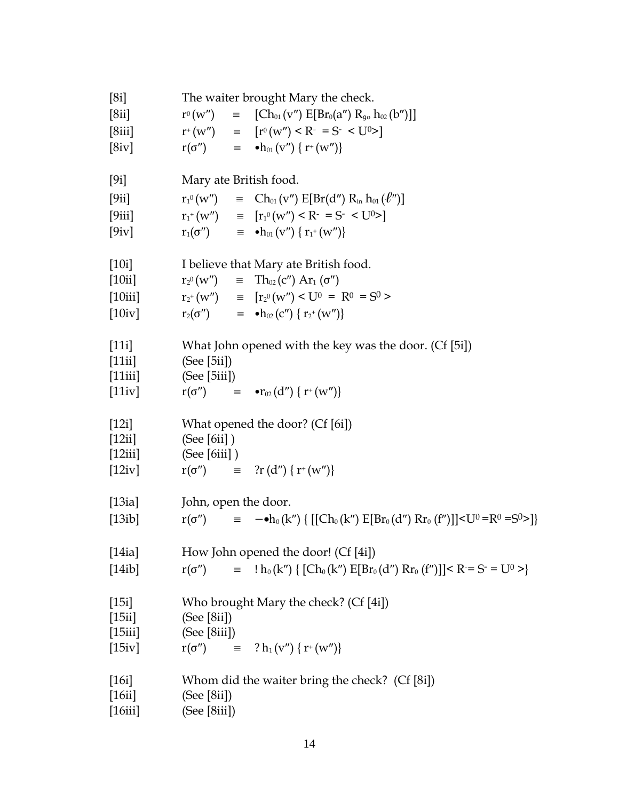| [8i]                       | The waiter brought Mary the check.                                                                                                |  |  |
|----------------------------|-----------------------------------------------------------------------------------------------------------------------------------|--|--|
| [8ii]                      | $r^{0}(w'') = [\text{Ch}_{01}(v'') \text{ E}[Br_{0}(a'') R_{g} h_{02}(b'')]$                                                      |  |  |
| [8iii]                     | $r^+(w'') = [r^0(w'') \le R^- = S^- \le U^0 > ]$                                                                                  |  |  |
| [8iv]                      | $r(\sigma'')$ $\equiv$ $\bullet h_{01}(v'') \{ r^+(w'') \}$                                                                       |  |  |
| [9i]                       | Mary ate British food.                                                                                                            |  |  |
| [9ii]                      | $r_1^0(w'')$ = $Ch_{01}(v'') E[Br(d'') R_{in} h_{01}(l'')]$                                                                       |  |  |
| [9iii]                     | $r_{1}^{+}(w'') = [r_{1}^{0}(w'') \le R_{1}^{0} = S_{1}^{0} \le U^{0} >$                                                          |  |  |
| [9iv]                      | $r_1(\sigma'') = \bullet h_{01}(v'') \{ r_1^+(w'') \}$                                                                            |  |  |
| [10i]                      | I believe that Mary ate British food.                                                                                             |  |  |
| [10ii]                     | $\mathrm{r_{2^0}(w'')} \quad \equiv \quad \mathrm{Th}_{02}\!\left(\mathrm{c''}\right)\mathrm{Ar}_1\left(\mathrm{\sigma''}\right)$ |  |  |
|                            | [10iii] $r_2^+(w'') = [r_2^0(w'') \le U^0 = R^0 = S^0$                                                                            |  |  |
| [10iv]                     | $r_2(\sigma'') = \bullet h_{02}(C'') \{ r_2^+(w'') \}$                                                                            |  |  |
| [11i]<br>[11ii]            | What John opened with the key was the door. (Cf [5i])<br>(See [5ii])<br>[11iii] $(See [5iii])$                                    |  |  |
| [11iv]                     | $r(\sigma'') = -r_{02}(d'') \{ r^+(w'') \}$                                                                                       |  |  |
| [12i]<br>[12ii]            | What opened the door? (Cf [6i])<br>(See [6ii])<br>$[12iii]$ (See [6iii])                                                          |  |  |
| [12iv]                     | $r(\sigma'') = ?r(d'') \{ r^+(w'') \}$                                                                                            |  |  |
| [13ia]                     | John, open the door.                                                                                                              |  |  |
| [13ib]                     | $= -\bullet h_0(k'') \{ [[Ch_0(k'') E[Br_0(d'') Rr_0(f'')]]]\}$<br>$r(\sigma'')$                                                  |  |  |
| [14ia]                     | How John opened the door! (Cf [4i])                                                                                               |  |  |
| [14ib]                     | $=$ ! $h_0(k'') \{ [Ch_0(k'') E[Br_0(d'') Rr_0(f'')] \le R = S = U^0 > \}$<br>$r(\sigma'')$                                       |  |  |
|                            |                                                                                                                                   |  |  |
| [15i]                      | Who brought Mary the check? (Cf [4i])                                                                                             |  |  |
| [15ii]                     | (See [8ii])                                                                                                                       |  |  |
| [15iii]<br>[15iv]          | (See [8iii])<br>$r(\sigma'') = ? h_1(v'') \{ r^+(w'') \}$                                                                         |  |  |
|                            |                                                                                                                                   |  |  |
| [16i]<br>[16ii]<br>[16iii] | Whom did the waiter bring the check? (Cf [8i])<br>(See [8ii])<br>(See [8iii])                                                     |  |  |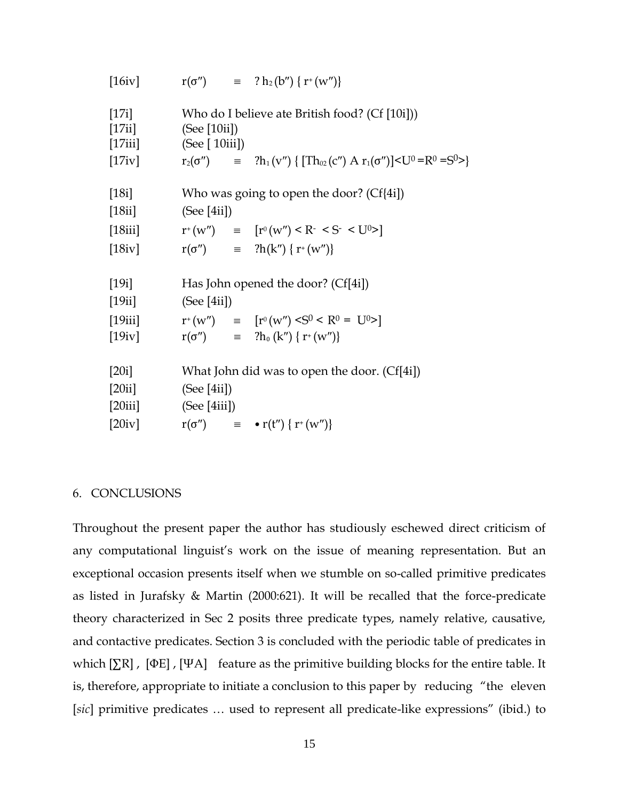| [16iv]           |                                            | $r(\sigma'') = ? h_2(b'') \{ r^+(w'') \}$                                              |
|------------------|--------------------------------------------|----------------------------------------------------------------------------------------|
| [17i]<br>[17ii]  | (See [10ii])                               | Who do I believe ate British food? (Cf [10i]))                                         |
| [17iii]          | (See [ $10ii$ ])                           |                                                                                        |
| [17iv]           |                                            | $r_2(\sigma'')$ = $?h_1(v'') \{ [Th_{02}(c'') A r_1(\sigma'')] < U^0 = R^0 = S^0 > \}$ |
| [18i]            | Who was going to open the door? $(Cf{4i})$ |                                                                                        |
| [18ii]           | (See [4ii])                                |                                                                                        |
| $[18\text{iii}]$ |                                            | $r^+(w'') = [r^0(w'') < R^- < S^- < U^0 > ]$                                           |
| [18iv]           |                                            | $r(\sigma'') =$ ?h(k'') { $r^{+}(w'')$ }                                               |
| [19i]            | Has John opened the door? (Cf[4i])         |                                                                                        |
| [19ii]           | (See [4ii])                                |                                                                                        |
| [19iii]          |                                            | $r^+(w'')$ = $[r^0(w'') < S^0 < R^0 = U^0 > ]$                                         |
| [19iv]           |                                            | $r(\sigma'') =$ ?h <sub>0</sub> (k'') { r <sup>+</sup> (w'')}                          |
| [20i]            |                                            | What John did was to open the door. (Cf[4i])                                           |
| [20ii]           | (See [4ii])                                |                                                                                        |
| [20iii]          | (See [4iii])                               |                                                                                        |
| [20iv]           |                                            | $r(\sigma'')$ = $\bullet r(t'') \{ r^+(w'') \}$                                        |

#### 6. CONCLUSIONS

Throughout the present paper the author has studiously eschewed direct criticism of any computational linguist's work on the issue of meaning representation. But an exceptional occasion presents itself when we stumble on so-called primitive predicates as listed in Jurafsky & Martin (2000:621). It will be recalled that the force-predicate theory characterized in Sec 2 posits three predicate types, namely relative, causative, and contactive predicates. Section 3 is concluded with the periodic table of predicates in which  $[\Sigma \mathbb{R}]$ ,  $[\Phi \mathbb{E}]$ ,  $[\Psi \mathbb{A}]$  feature as the primitive building blocks for the entire table. It is, therefore, appropriate to initiate a conclusion to this paper by reducing "the eleven [*sic*] primitive predicates … used to represent all predicate-like expressions" (ibid.) to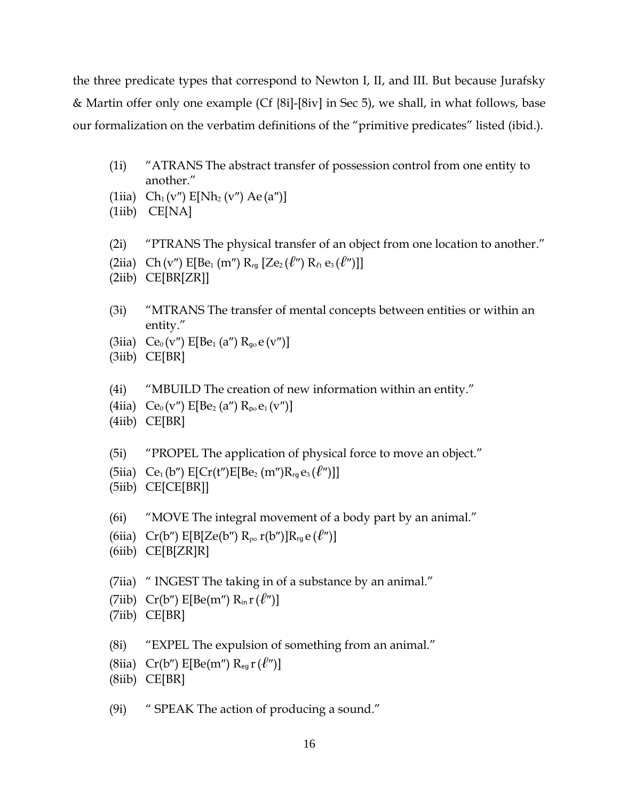the three predicate types that correspond to Newton I, II, and III. But because Jurafsky & Martin offer only one example (Cf {8i]-[8iv] in Sec 5), we shall, in what follows, base our formalization on the verbatim definitions of the "primitive predicates" listed (ibid.).

- (1i) "ATRANS The abstract transfer of possession control from one entity to another."
- (1iia)  $Ch_1(v'') E[Nh_2(v'') Ae(a'')]$
- (1iib) CE[NA]
- (2i) "PTRANS The physical transfer of an object from one location to another."
- (2iia) Ch(v")  $E[Be_1(m'') R_{rg} [Ze_2(\ell'') R_{\ell t} e_3(\ell'')]$
- (2iib) CE[BR[ZR]]
- (3i) "MTRANS The transfer of mental concepts between entities or within an entity."
- (3iia)  $Ce_0(v'') E[Be_1(a'') R_{go}e(v'')]$
- (3iib) CE[BR]
- (4i) "MBUILD The creation of new information within an entity."
- (4iia)  $Ce_0(v'')E[Be_2(a'')R_{po}e_1(v'')]$
- (4iib) CE[BR]
- (5i) "PROPEL The application of physical force to move an object."
- (5iia)  $Ce_1(b'') E[Cr(t'')E[Be_2(m'')R_{rq}e_3(\ell'')]$
- (5iib) CE[CE[BR]]
- (6i) "MOVE The integral movement of a body part by an animal."
- (6iia)  $Cr(b'')$  E[B[Ze(b'') R<sub>po</sub>  $r(b'')$ ]R<sub>rg</sub> e ( $\ell''$ )]
- (6iib) CE[B[ZR]R]
- (7iia) " INGEST The taking in of a substance by an animal."
- (7iib)  $Cr(b'')$  E[Be(m'')  $R_{in} r(\ell'')$ ]
- (7iib) CE[BR]
- (8i) "EXPEL The expulsion of something from an animal."
- (8iia)  $Cr(b'') E[Be(m'') R_{eq}r(\ell'')]$
- (8iib) CE[BR]
- (9i) " SPEAK The action of producing a sound."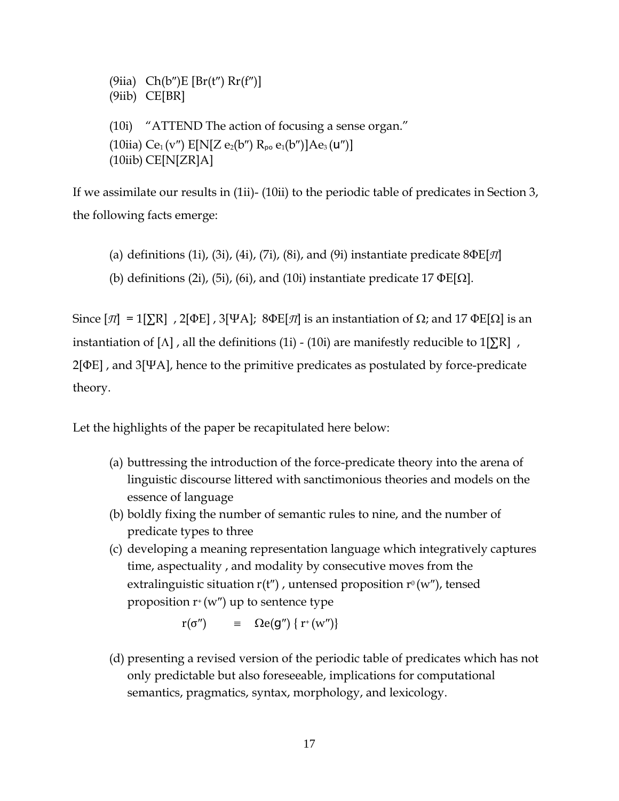(9iia)  $Ch(b'')E [Br(t'') Rr(f'')]$ (9iib) CE[BR] (10i) "ATTEND The action of focusing a sense organ." (10iia) Ce<sub>1</sub> (v'')  $E[N[Z e_2(b'') R_{p0} e_1(b'')] Ae_3(u'')]$  $(10$ iib) CE $[N[ZR]A]$ 

If we assimilate our results in (1ii)- (10ii) to the periodic table of predicates in Section 3, the following facts emerge:

(a) definitions (1i), (3i), (4i), (7i), (8i), and (9i) instantiate predicate 8ΦE[*Π*]

(b) definitions (2i), (5i), (6i), and (10i) instantiate predicate 17  $\Phi E[\Omega]$ .

Since  $[\pi] = 1[\Sigma \text{R}]$ , 2[ΦE], 3[ΨA]; 8ΦE[ $\pi$ ] is an instantiation of Ω; and 17 ΦE[Ω] is an instantiation of [ $\Lambda$ ], all the definitions (1i) - (10i) are manifestly reducible to 1[ $\Sigma$ R], 2[ΦE] , and 3[ΨA], hence to the primitive predicates as postulated by force-predicate theory.

Let the highlights of the paper be recapitulated here below:

- (a) buttressing the introduction of the force-predicate theory into the arena of linguistic discourse littered with sanctimonious theories and models on the essence of language
- (b) boldly fixing the number of semantic rules to nine, and the number of predicate types to three
- (c) developing a meaning representation language which integratively captures time, aspectuality , and modality by consecutive moves from the extralinguistic situation  $r(t'')$ , untensed proposition  $r^0(w'')$ , tensed proposition  $r^+(w'')$  up to sentence type

 $r(\sigma'')$   $\equiv$   $\Omega e(g'') \{ r^+(w'') \}$ 

(d) presenting a revised version of the periodic table of predicates which has not only predictable but also foreseeable, implications for computational semantics, pragmatics, syntax, morphology, and lexicology.